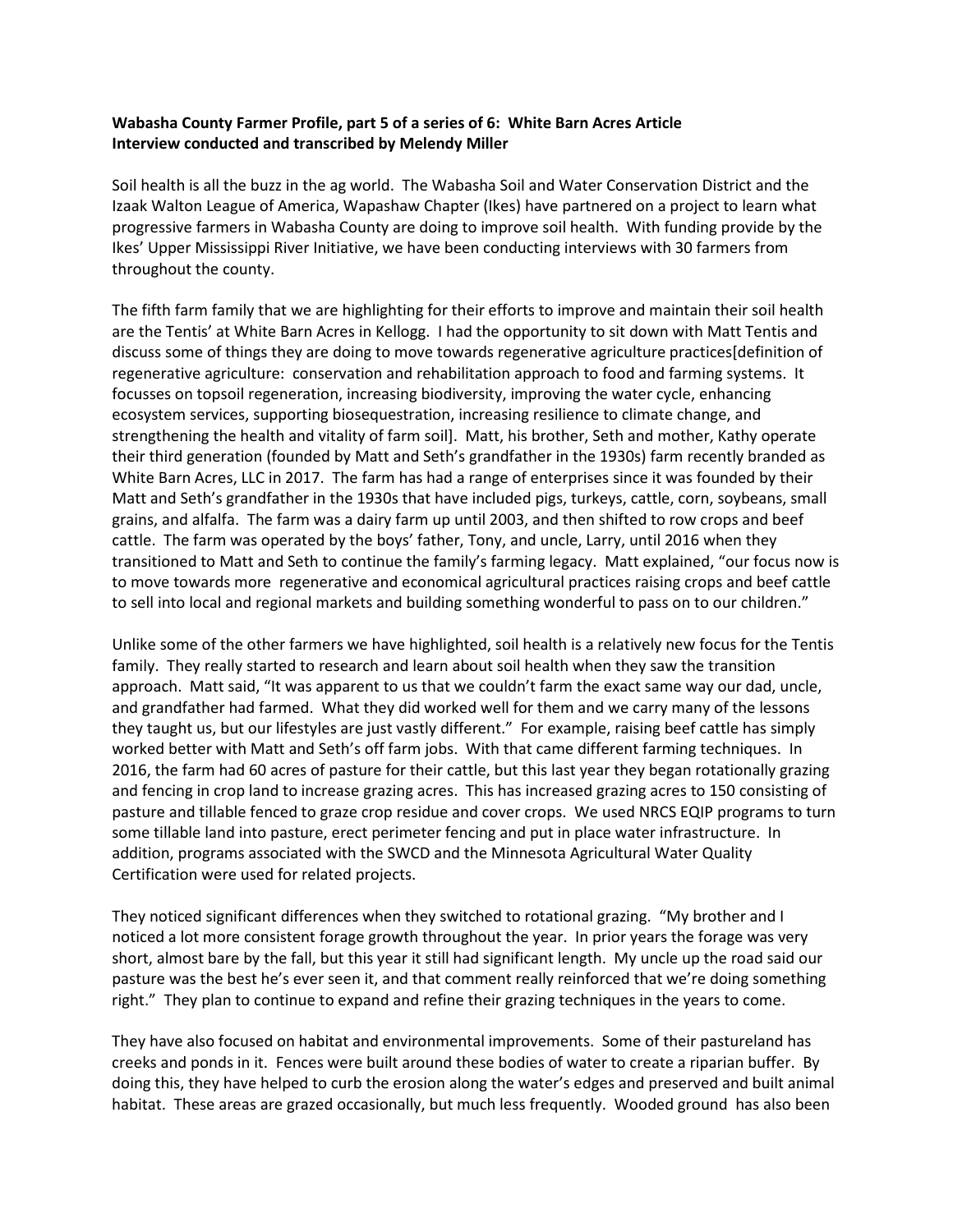## **Wabasha County Farmer Profile, part 5 of a series of 6: White Barn Acres Article Interview conducted and transcribed by Melendy Miller**

Soil health is all the buzz in the ag world. The Wabasha Soil and Water Conservation District and the Izaak Walton League of America, Wapashaw Chapter (Ikes) have partnered on a project to learn what progressive farmers in Wabasha County are doing to improve soil health. With funding provide by the Ikes' Upper Mississippi River Initiative, we have been conducting interviews with 30 farmers from throughout the county.

The fifth farm family that we are highlighting for their efforts to improve and maintain their soil health are the Tentis' at White Barn Acres in Kellogg. I had the opportunity to sit down with Matt Tentis and discuss some of things they are doing to move towards regenerative agriculture practices[definition of regenerative agriculture: conservation and rehabilitation approach to food and farming systems. It focusses on topsoil regeneration, increasing biodiversity, improving the water cycle, enhancing ecosystem services, supporting biosequestration, increasing resilience to climate change, and strengthening the health and vitality of farm soil]. Matt, his brother, Seth and mother, Kathy operate their third generation (founded by Matt and Seth's grandfather in the 1930s) farm recently branded as White Barn Acres, LLC in 2017. The farm has had a range of enterprises since it was founded by their Matt and Seth's grandfather in the 1930s that have included pigs, turkeys, cattle, corn, soybeans, small grains, and alfalfa. The farm was a dairy farm up until 2003, and then shifted to row crops and beef cattle. The farm was operated by the boys' father, Tony, and uncle, Larry, until 2016 when they transitioned to Matt and Seth to continue the family's farming legacy. Matt explained, "our focus now is to move towards more regenerative and economical agricultural practices raising crops and beef cattle to sell into local and regional markets and building something wonderful to pass on to our children."

Unlike some of the other farmers we have highlighted, soil health is a relatively new focus for the Tentis family. They really started to research and learn about soil health when they saw the transition approach. Matt said, "It was apparent to us that we couldn't farm the exact same way our dad, uncle, and grandfather had farmed. What they did worked well for them and we carry many of the lessons they taught us, but our lifestyles are just vastly different." For example, raising beef cattle has simply worked better with Matt and Seth's off farm jobs. With that came different farming techniques. In 2016, the farm had 60 acres of pasture for their cattle, but this last year they began rotationally grazing and fencing in crop land to increase grazing acres. This has increased grazing acres to 150 consisting of pasture and tillable fenced to graze crop residue and cover crops. We used NRCS EQIP programs to turn some tillable land into pasture, erect perimeter fencing and put in place water infrastructure. In addition, programs associated with the SWCD and the Minnesota Agricultural Water Quality Certification were used for related projects.

They noticed significant differences when they switched to rotational grazing. "My brother and I noticed a lot more consistent forage growth throughout the year. In prior years the forage was very short, almost bare by the fall, but this year it still had significant length. My uncle up the road said our pasture was the best he's ever seen it, and that comment really reinforced that we're doing something right." They plan to continue to expand and refine their grazing techniques in the years to come.

They have also focused on habitat and environmental improvements. Some of their pastureland has creeks and ponds in it. Fences were built around these bodies of water to create a riparian buffer. By doing this, they have helped to curb the erosion along the water's edges and preserved and built animal habitat. These areas are grazed occasionally, but much less frequently. Wooded ground has also been